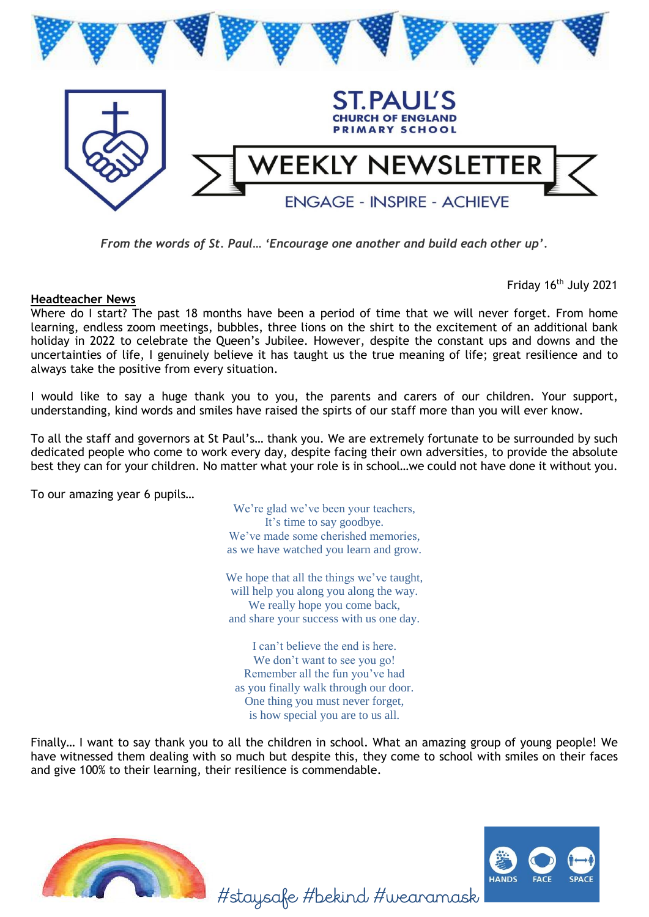

*From the words of St. Paul… 'Encourage one another and build each other up'.* 

**Headteacher News**

Friday 16<sup>th</sup> July 2021

Where do I start? The past 18 months have been a period of time that we will never forget. From home learning, endless zoom meetings, bubbles, three lions on the shirt to the excitement of an additional bank holiday in 2022 to celebrate the Queen's Jubilee. However, despite the constant ups and downs and the uncertainties of life, I genuinely believe it has taught us the true meaning of life; great resilience and to always take the positive from every situation.

I would like to say a huge thank you to you, the parents and carers of our children. Your support, understanding, kind words and smiles have raised the spirts of our staff more than you will ever know.

To all the staff and governors at St Paul's… thank you. We are extremely fortunate to be surrounded by such dedicated people who come to work every day, despite facing their own adversities, to provide the absolute best they can for your children. No matter what your role is in school…we could not have done it without you.

To our amazing year 6 pupils…

We're glad we've been your teachers, It's time to say goodbye. We've made some cherished memories. as we have watched you learn and grow.

We hope that all the things we've taught, will help you along you along the way. We really hope you come back, and share your success with us one day.

I can't believe the end is here. We don't want to see you go! Remember all the fun you've had as you finally walk through our door. One thing you must never forget, is how special you are to us all.

Finally… I want to say thank you to all the children in school. What an amazing group of young people! We have witnessed them dealing with so much but despite this, they come to school with smiles on their faces and give 100% to their learning, their resilience is commendable.





#staysafe #bekind #wearamask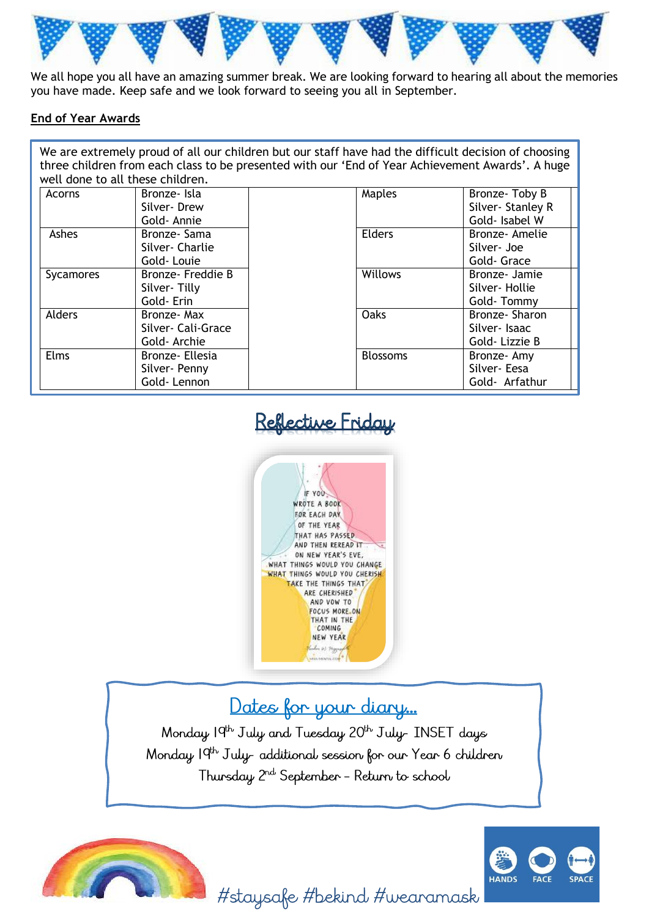

We all hope you all have an amazing summer break. We are looking forward to hearing all about the memories you have made. Keep safe and we look forward to seeing you all in September.

#### **End of Year Awards**

We are extremely proud of all our children but our staff have had the difficult decision of choosing three children from each class to be presented with our 'End of Year Achievement Awards'. A huge well done to all these children.

| Acorns      | Bronze- Isla<br>Silver-Drew | Maples          | Bronze-Toby B<br>Silver-Stanley R |
|-------------|-----------------------------|-----------------|-----------------------------------|
|             | Gold-Annie                  |                 | Gold- Isabel W                    |
| Ashes       | Bronze-Sama                 | Elders          | Bronze- Amelie                    |
|             | Silver-Charlie              |                 | Silver- Joe                       |
|             | Gold-Louie                  |                 | Gold- Grace                       |
| Sycamores   | Bronze- Freddie B           | Willows         | Bronze- Jamie                     |
|             | Silver-Tilly                |                 | Silver-Hollie                     |
|             | Gold-Erin                   |                 | Gold-Tommy                        |
| Alders      | Bronze- Max                 | Oaks            | Bronze-Sharon                     |
|             | Silver- Cali-Grace          |                 | Silver-Isaac                      |
|             | Gold-Archie                 |                 | Gold-Lizzie B                     |
| <b>Elms</b> | Bronze- Ellesia             | <b>Blossoms</b> | Bronze-Amy                        |
|             | Silver-Penny                |                 | Silver-Eesa                       |
|             | Gold-Lennon                 |                 | Gold- Arfathur                    |

# Reflective Friday



## Dates for your diary...

Monday 19<sup>th</sup> July and Tuesday 20<sup>th</sup> July-INSET days Monday 19<sup>th</sup> July-additional session for our Year 6 children Thursday 2<sup>nd</sup> September - Return to school





#staysafe #bekind #wearamask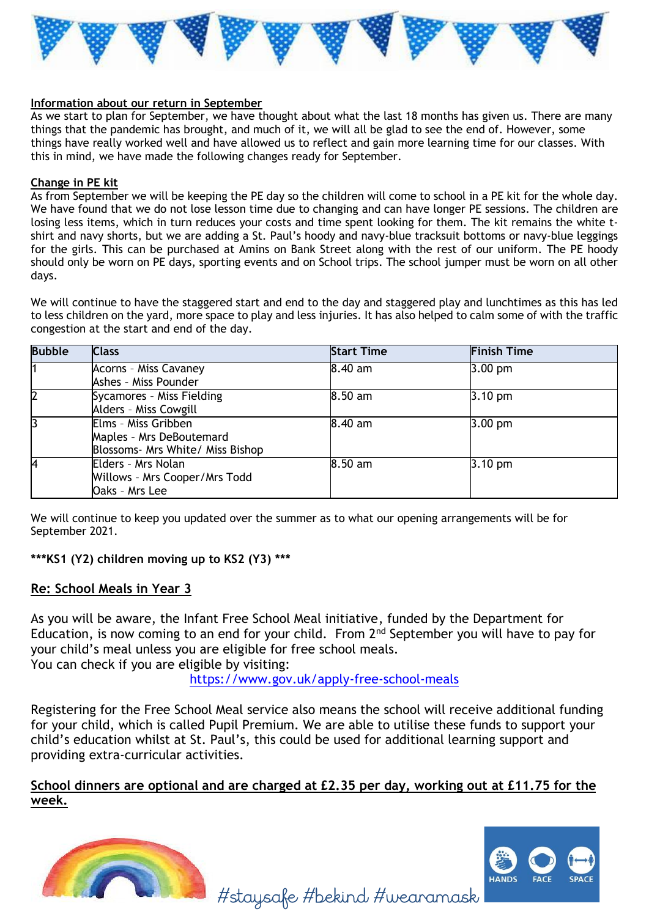

#### **Information about our return in September**

As we start to plan for September, we have thought about what the last 18 months has given us. There are many things that the pandemic has brought, and much of it, we will all be glad to see the end of. However, some things have really worked well and have allowed us to reflect and gain more learning time for our classes. With this in mind, we have made the following changes ready for September.

#### **Change in PE kit**

As from September we will be keeping the PE day so the children will come to school in a PE kit for the whole day. We have found that we do not lose lesson time due to changing and can have longer PE sessions. The children are losing less items, which in turn reduces your costs and time spent looking for them. The kit remains the white tshirt and navy shorts, but we are adding a St. Paul's hoody and navy-blue tracksuit bottoms or navy-blue leggings for the girls. This can be purchased at Amins on Bank Street along with the rest of our uniform. The PE hoody should only be worn on PE days, sporting events and on School trips. The school jumper must be worn on all other days.

We will continue to have the staggered start and end to the day and staggered play and lunchtimes as this has led to less children on the yard, more space to play and less injuries. It has also helped to calm some of with the traffic congestion at the start and end of the day.

| <b>Bubble</b> | <b>Class</b>                     | <b>Start Time</b> | <b>Finish Time</b> |
|---------------|----------------------------------|-------------------|--------------------|
| l1            | Acorns - Miss Cavaney            | 8.40 am           | $3.00$ pm          |
|               | Ashes - Miss Pounder             |                   |                    |
| 2             | Sycamores - Miss Fielding        | 8.50 am           | $3.10 \text{ pm}$  |
|               | Alders - Miss Cowgill            |                   |                    |
| l3            | Elms - Miss Gribben              | 8.40 am           | $3.00$ pm          |
|               | Maples - Mrs DeBoutemard         |                   |                    |
|               | Blossoms- Mrs White/ Miss Bishop |                   |                    |
| 4             | Elders - Mrs Nolan               | 8.50 am           | $3.10$ pm          |
|               | Willows - Mrs Cooper/Mrs Todd    |                   |                    |
|               | Oaks - Mrs Lee                   |                   |                    |

We will continue to keep you updated over the summer as to what our opening arrangements will be for September 2021.

### **\*\*\*KS1 (Y2) children moving up to KS2 (Y3) \*\*\***

#### **Re: School Meals in Year 3**

As you will be aware, the Infant Free School Meal initiative, funded by the Department for Education, is now coming to an end for your child. From  $2<sup>nd</sup>$  September you will have to pay for your child's meal unless you are eligible for free school meals. You can check if you are eligible by visiting:

<https://www.gov.uk/apply-free-school-meals>

Registering for the Free School Meal service also means the school will receive additional funding for your child, which is called Pupil Premium. We are able to utilise these funds to support your child's education whilst at St. Paul's, this could be used for additional learning support and providing extra-curricular activities.

**School dinners are optional and are charged at £2.35 per day, working out at £11.75 for the week.**